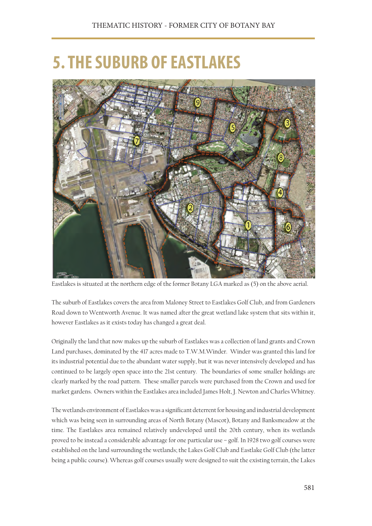## **5. THE SUBURB OF EASTLAKES**



Eastlakes is situated at the northern edge of the former Botany LGA marked as (5) on the above aerial.

The suburb of Eastlakes covers the area from Maloney Street to Eastlakes Golf Club, and from Gardeners Road down to Wentworth Avenue. It was named after the great wetland lake system that sits within it, however Eastlakes as it exists today has changed a great deal.

Originally the land that now makes up the suburb of Eastlakes was a collection of land grants and Crown Land purchases, dominated by the 417 acres made to T.W.M.Winder. Winder was granted this land for its industrial potential due to the abundant water supply, but it was never intensively developed and has continued to be largely open space into the 21st century. The boundaries of some smaller holdings are clearly marked by the road pattern. These smaller parcels were purchased from the Crown and used for market gardens. Owners within the Eastlakes area included James Holt, J. Newton and Charles Whitney.

The wetlands environment of Eastlakes was a significant deterrent for housing and industrial development which was being seen in surrounding areas of North Botany (Mascot), Botany and Banksmeadow at the time. The Eastlakes area remained relatively undeveloped until the 20th century, when its wetlands proved to be instead a considerable advantage for one particular use – golf. In 1928 two golf courses were established on the land surrounding the wetlands; the Lakes Golf Club and Eastlake Golf Club (the latter being a public course). Whereas golf courses usually were designed to suit the existing terrain, the Lakes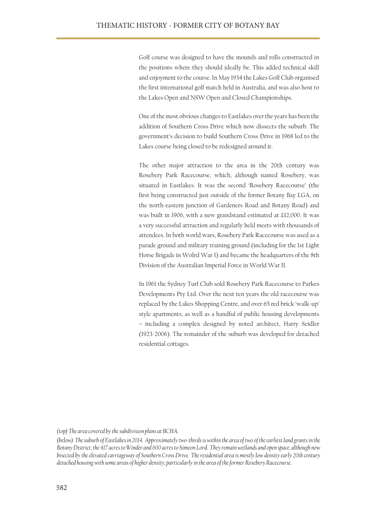Golf course was designed to have the mounds and rolls constructed in the positions where they should ideally be. This added technical skill and enjoyment to the course. In May 1934 the Lakes Golf Club organised the first international golf match held in Australia, and was also host to the Lakes Open and NSW Open and Closed Championships.

One of the most obvious changes to Eastlakes over the years has been the addition of Southern Cross Drive which now dissects the suburb. The government's decision to build Southern Cross Drive in 1968 led to the Lakes course being closed to be redesigned around it.

The other major attraction to the area in the 20th century was Rosebery Park Racecourse, which, although named Rosebery, was situated in Eastlakes. It was the second 'Rosebery Racecourse' (the first being constructed just outside of the former Botany Bay LGA, on the north-eastern junction of Gardeners Road and Botany Road) and was built in 1906, with a new grandstand estimated at £12,000. It was a very successful attraction and regularly held meets with thousands of attendees. In both world wars, Rosebery Park Racecourse was used as a parade ground and military training ground (including for the 1st Light Horse Brigade in Wolrd War I) and became the headquarters of the 8th Division of the Australian Imperial Force in World War II.

In 1961 the Sydney Turf Club sold Rosebery Park Racecourse to Parkes Developments Pty Ltd. Over the next ten years the old racecourse was replaced by the Lakes Shopping Centre, and over 65 red brick 'walk-up' style apartments, as well as a handful of public housing developments – including a complex designed by noted architect, Harry Seidler (1923-2006). The remainder of the suburb was developed for detached residential cottages.

*(top) The area covered by the subdivision plans at BCHA.*

*<sup>(</sup>below) The suburb of Eastlakes in 2014. Approximately two-thirds is within the area of two of the earliest land grants in the Botany District, the 417 acres to Winder and 600 acres to Simeon Lord. They remain wetlands and open space, although now bisected by the elevated carriageway of Southern Cross Drive. The residential area is mostly low density early 20th century detached housing with some areas of higher density, particularly in the area of the former Rosebery Racecourse.*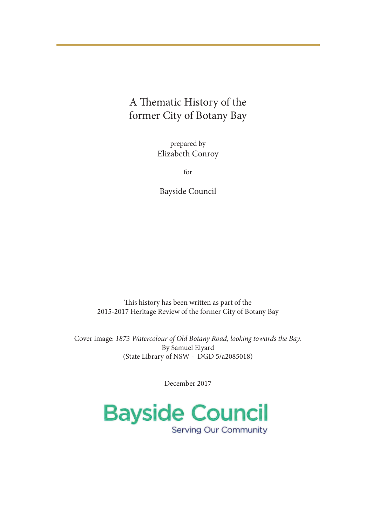## A Thematic History of the former City of Botany Bay

prepared by Elizabeth Conroy

for

Bayside Council

This history has been written as part of the 2015-2017 Heritage Review of the former City of Botany Bay

Cover image: *1873 Watercolour of Old Botany Road, looking towards the Bay*. By Samuel Elyard (State Library of NSW - DGD 5/a2085018)

December 2017

**Bayside Council Serving Our Community**